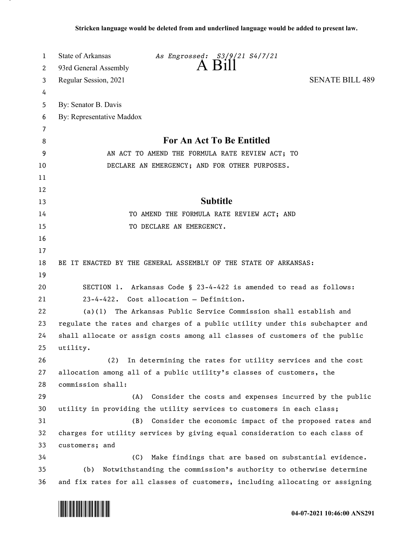| 1      | State of Arkansas<br>As Engrossed: S3/9/21 S4/7/21                            |
|--------|-------------------------------------------------------------------------------|
| 2      | 93rd General Assembly                                                         |
| 3      | <b>SENATE BILL 489</b><br>Regular Session, 2021                               |
| 4      |                                                                               |
| 5      | By: Senator B. Davis                                                          |
| 6      | By: Representative Maddox                                                     |
| 7<br>8 | <b>For An Act To Be Entitled</b>                                              |
| 9      | AN ACT TO AMEND THE FORMULA RATE REVIEW ACT; TO                               |
| 10     | DECLARE AN EMERGENCY; AND FOR OTHER PURPOSES.                                 |
| 11     |                                                                               |
| 12     |                                                                               |
| 13     | <b>Subtitle</b>                                                               |
| 14     | TO AMEND THE FORMULA RATE REVIEW ACT; AND                                     |
| 15     | TO DECLARE AN EMERGENCY.                                                      |
| 16     |                                                                               |
| 17     |                                                                               |
| 18     | BE IT ENACTED BY THE GENERAL ASSEMBLY OF THE STATE OF ARKANSAS:               |
| 19     |                                                                               |
| 20     | SECTION 1. Arkansas Code § 23-4-422 is amended to read as follows:            |
| 21     | 23-4-422. Cost allocation - Definition.                                       |
| 22     | $(a)(1)$ The Arkansas Public Service Commission shall establish and           |
| 23     | regulate the rates and charges of a public utility under this subchapter and  |
| 24     | shall allocate or assign costs among all classes of customers of the public   |
| 25     | utility.                                                                      |
| 26     | In determining the rates for utility services and the cost<br>(2)             |
| 27     | allocation among all of a public utility's classes of customers, the          |
| 28     | commission shall:                                                             |
| 29     | (A)<br>Consider the costs and expenses incurred by the public                 |
| 30     | utility in providing the utility services to customers in each class;         |
| 31     | Consider the economic impact of the proposed rates and<br>(B)                 |
| 32     | charges for utility services by giving equal consideration to each class of   |
| 33     | customers; and                                                                |
| 34     | Make findings that are based on substantial evidence.<br>(C)                  |
| 35     | (b) Notwithstanding the commission's authority to otherwise determine         |
| 36     | and fix rates for all classes of customers, including allocating or assigning |

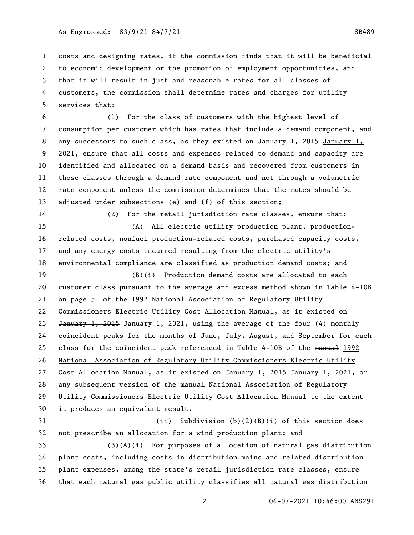costs and designing rates, if the commission finds that it will be beneficial to economic development or the promotion of employment opportunities, and that it will result in just and reasonable rates for all classes of customers, the commission shall determine rates and charges for utility services that:

 (1) For the class of customers with the highest level of consumption per customer which has rates that include a demand component, and 8 any successors to such class, as they existed on January 1, 2015 January 1, 2021, ensure that all costs and expenses related to demand and capacity are identified and allocated on a demand basis and recovered from customers in those classes through a demand rate component and not through a volumetric rate component unless the commission determines that the rates should be adjusted under subsections (e) and (f) of this section;

 (2) For the retail jurisdiction rate classes, ensure that: (A) All electric utility production plant, production- related costs, nonfuel production-related costs, purchased capacity costs, and any energy costs incurred resulting from the electric utility's environmental compliance are classified as production demand costs; and

 (B)(i) Production demand costs are allocated to each customer class pursuant to the average and excess method shown in Table 4-10B on page 51 of the 1992 National Association of Regulatory Utility Commissioners Electric Utility Cost Allocation Manual, as it existed on 23 January 1, 2015 January 1, 2021, using the average of the four (4) monthly coincident peaks for the months of June, July, August, and September for each 25 class for the coincident peak referenced in Table 4-10B of the manual 1992 National Association of Regulatory Utility Commissioners Electric Utility 27 Cost Allocation Manual, as it existed on January 1, 2015 January 1, 2021, or 28 any subsequent version of the manual National Association of Regulatory Utility Commissioners Electric Utility Cost Allocation Manual to the extent it produces an equivalent result.

 (ii) Subdivision (b)(2)(B)(i) of this section does not prescribe an allocation for a wind production plant; and (3)(A)(i) For purposes of allocation of natural gas distribution plant costs, including costs in distribution mains and related distribution plant expenses, among the state's retail jurisdiction rate classes, ensure that each natural gas public utility classifies all natural gas distribution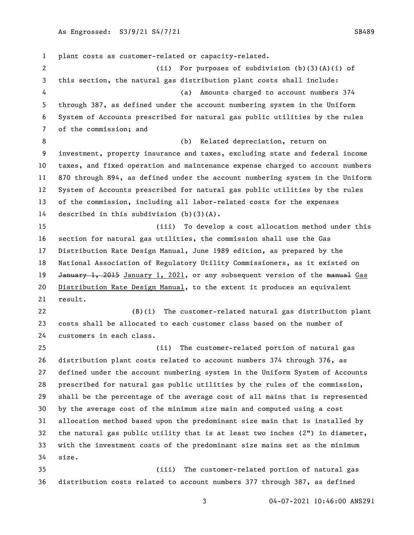plant costs as customer-related or capacity-related. (ii) For purposes of subdivision (b)(3)(A)(i) of this section, the natural gas distribution plant costs shall include: (a) Amounts charged to account numbers 374 through 387, as defined under the account numbering system in the Uniform System of Accounts prescribed for natural gas public utilities by the rules of the commission; and (b) Related depreciation, return on investment, property insurance and taxes, excluding state and federal income taxes, and fixed operation and maintenance expense charged to account numbers 870 through 894, as defined under the account numbering system in the Uniform System of Accounts prescribed for natural gas public utilities by the rules of the commission, including all labor-related costs for the expenses described in this subdivision (b)(3)(A). (iii) To develop a cost allocation method under this section for natural gas utilities, the commission shall use the Gas Distribution Rate Design Manual, June 1989 edition, as prepared by the National Association of Regulatory Utility Commissioners, as it existed on 19 January 1, 2015 January 1, 2021, or any subsequent version of the manual Gas Distribution Rate Design Manual, to the extent it produces an equivalent result. (B)(i) The customer-related natural gas distribution plant costs shall be allocated to each customer class based on the number of customers in each class. (ii) The customer-related portion of natural gas distribution plant costs related to account numbers 374 through 376, as defined under the account numbering system in the Uniform System of Accounts prescribed for natural gas public utilities by the rules of the commission, shall be the percentage of the average cost of all mains that is represented by the average cost of the minimum size main and computed using a cost allocation method based upon the predominant size main that is installed by the natural gas public utility that is at least two inches (2") in diameter, with the investment costs of the predominant size mains set as the minimum size. (iii) The customer-related portion of natural gas distribution costs related to account numbers 377 through 387, as defined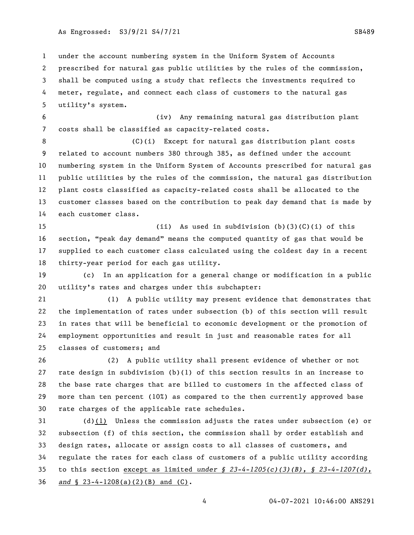under the account numbering system in the Uniform System of Accounts prescribed for natural gas public utilities by the rules of the commission, shall be computed using a study that reflects the investments required to

 meter, regulate, and connect each class of customers to the natural gas utility's system.

 (iv) Any remaining natural gas distribution plant costs shall be classified as capacity-related costs.

 (C)(i) Except for natural gas distribution plant costs related to account numbers 380 through 385, as defined under the account numbering system in the Uniform System of Accounts prescribed for natural gas public utilities by the rules of the commission, the natural gas distribution plant costs classified as capacity-related costs shall be allocated to the customer classes based on the contribution to peak day demand that is made by each customer class.

 (ii) As used in subdivision (b)(3)(C)(i) of this section, "peak day demand" means the computed quantity of gas that would be supplied to each customer class calculated using the coldest day in a recent thirty-year period for each gas utility.

 (c) In an application for a general change or modification in a public utility's rates and charges under this subchapter:

 (1) A public utility may present evidence that demonstrates that the implementation of rates under subsection (b) of this section will result in rates that will be beneficial to economic development or the promotion of employment opportunities and result in just and reasonable rates for all classes of customers; and

 (2) A public utility shall present evidence of whether or not rate design in subdivision (b)(1) of this section results in an increase to the base rate charges that are billed to customers in the affected class of more than ten percent (10%) as compared to the then currently approved base rate charges of the applicable rate schedules.

 (d)(1) Unless the commission adjusts the rates under subsection (e) or subsection (f) of this section, the commission shall by order establish and design rates, allocate or assign costs to all classes of customers, and regulate the rates for each class of customers of a public utility according to this section except as limited *under § 23-4-1205(c)(3)(B), § 23-4-1207(d), and* § 23-4-1208(a)(2)(B) and (C).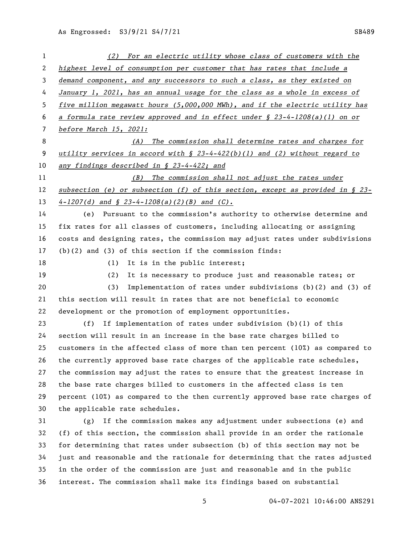| 1              | (2) For an electric utility whose class of customers with the                    |
|----------------|----------------------------------------------------------------------------------|
| $\overline{2}$ | highest level of consumption per customer that has rates that include a          |
| 3              | demand component, and any successors to such a class, as they existed on         |
| 4              | January 1, 2021, has an annual usage for the class as a whole in excess of       |
| 5              | five million megawatt hours (5,000,000 MWh), and if the electric utility has     |
| 6              | a formula rate review approved and in effect under $\S$ 23-4-1208(a)(1) on or    |
| 7              | before March 15, 2021:                                                           |
| 8              | The commission shall determine rates and charges for<br>(A)                      |
| 9              | utility services in accord with $\S$ 23-4-422(b)(1) and (2) without regard to    |
| 10             | any findings described in § 23-4-422; and                                        |
| 11             | The commission shall not adjust the rates under<br>(B)                           |
| 12             | subsection (e) or subsection (f) of this section, except as provided in $\S$ 23- |
| 13             | $4-1207(d)$ and $\int$ 23-4-1208(a)(2)(B) and (C).                               |
| 14             | (e) Pursuant to the commission's authority to otherwise determine and            |
| 15             | fix rates for all classes of customers, including allocating or assigning        |
| 16             | costs and designing rates, the commission may adjust rates under subdivisions    |
| 17             | $(b)(2)$ and $(3)$ of this section if the commission finds:                      |
| 18             | It is in the public interest;<br>(1)                                             |
| 19             | It is necessary to produce just and reasonable rates; or<br>(2)                  |
| 20             | (3)<br>Implementation of rates under subdivisions $(b)(2)$ and $(3)$ of          |
| 21             | this section will result in rates that are not beneficial to economic            |
| 22             | development or the promotion of employment opportunities.                        |
| 23             | If implementation of rates under subdivision $(b)(1)$ of this<br>(f)             |
| 24             | section will result in an increase in the base rate charges billed to            |
| 25             | customers in the affected class of more than ten percent $(10o)$ as compared to  |
| 26             | the currently approved base rate charges of the applicable rate schedules,       |
| 27             | the commission may adjust the rates to ensure that the greatest increase in      |
| 28             | the base rate charges billed to customers in the affected class is ten           |
| 29             | percent (10%) as compared to the then currently approved base rate charges of    |
| 30             | the applicable rate schedules.                                                   |
| 31             | If the commission makes any adjustment under subsections (e) and<br>(g)          |
| 32             | (f) of this section, the commission shall provide in an order the rationale      |
| 33             | for determining that rates under subsection (b) of this section may not be       |
| 34             | just and reasonable and the rationale for determining that the rates adjusted    |
| 35             | in the order of the commission are just and reasonable and in the public         |
| 36             | interest. The commission shall make its findings based on substantial            |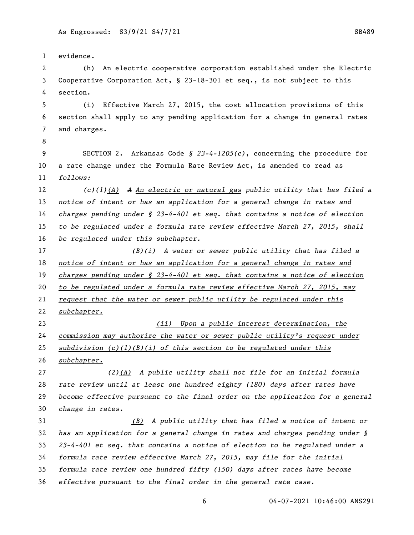evidence. (h) An electric cooperative corporation established under the Electric Cooperative Corporation Act, § 23-18-301 et seq., is not subject to this section. (i) Effective March 27, 2015, the cost allocation provisions of this section shall apply to any pending application for a change in general rates and charges. SECTION 2. Arkansas Code *§ 23-4-1205(c)*, concerning the procedure for a rate change under the Formula Rate Review Act, is amended to read as *follows: (c)(1)(A) A An electric or natural gas public utility that has filed a notice of intent or has an application for a general change in rates and charges pending under § 23-4-401 et seq. that contains a notice of election to be regulated under a formula rate review effective March 27, 2015, shall be regulated under this subchapter. (B)(i) A water or sewer public utility that has filed a notice of intent or has an application for a general change in rates and charges pending under § 23-4-401 et seq. that contains a notice of election to be regulated under a formula rate review effective March 27, 2015, may request that the water or sewer public utility be regulated under this subchapter. (ii) Upon a public interest determination, the commission may authorize the water or sewer public utility's request under subdivision (c)(1)(B)(i) of this section to be regulated under this subchapter. (2)(A) A public utility shall not file for an initial formula rate review until at least one hundred eighty (180) days after rates have become effective pursuant to the final order on the application for a general change in rates. (B) A public utility that has filed a notice of intent or has an application for a general change in rates and charges pending under § 23-4-401 et seq. that contains a notice of election to be regulated under a formula rate review effective March 27, 2015, may file for the initial formula rate review one hundred fifty (150) days after rates have become effective pursuant to the final order in the general rate case.*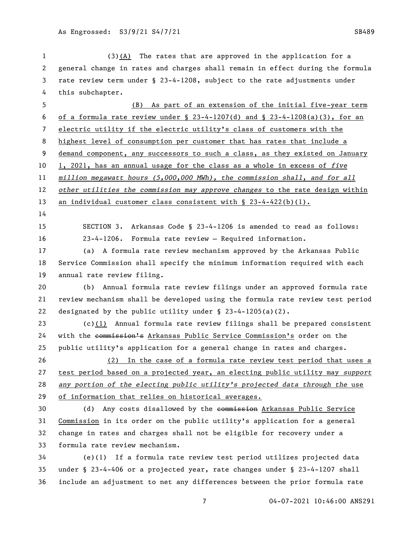| 1            | $(3)(A)$ The rates that are approved in the application for a                 |
|--------------|-------------------------------------------------------------------------------|
| $\mathbf{2}$ | general change in rates and charges shall remain in effect during the formula |
| 3            | rate review term under § 23-4-1208, subject to the rate adjustments under     |
| 4            | this subchapter.                                                              |
| 5            | (B)<br>As part of an extension of the initial five-year term                  |
| 6            | of a formula rate review under § 23-4-1207(d) and § 23-4-1208(a)(3), for an   |
| 7            | electric utility if the electric utility's class of customers with the        |
| 8            | highest level of consumption per customer that has rates that include a       |
| 9            | demand component, any successors to such a class, as they existed on January  |
| 10           | 1, 2021, has an annual usage for the class as a whole in excess of five       |
| 11           | million megawatt hours (5,000,000 MWh), the commission shall, and for all     |
| 12           | other utilities the commission may approve changes to the rate design within  |
| 13           | an individual customer class consistent with § 23-4-422(b)(1).                |
| 14           |                                                                               |
| 15           | SECTION 3. Arkansas Code § 23-4-1206 is amended to read as follows:           |
| 16           | 23-4-1206. Formula rate review - Required information.                        |
| 17           | (a) A formula rate review mechanism approved by the Arkansas Public           |
| 18           | Service Commission shall specify the minimum information required with each   |
| 19           | annual rate review filing.                                                    |
| 20           | (b) Annual formula rate review filings under an approved formula rate         |
| 21           | review mechanism shall be developed using the formula rate review test period |
| 22           | designated by the public utility under $\S$ 23-4-1205(a)(2).                  |
| 23           | (c) $(1)$ Annual formula rate review filings shall be prepared consistent     |
| 24           | with the commission's Arkansas Public Service Commission's order on the       |
| 25           | public utility's application for a general change in rates and charges.       |
| 26           | (2) In the case of a formula rate review test period that uses a              |
| 27           | test period based on a projected year, an electing public utility may support |
| 28           | any portion of the electing public utility's projected data through the use   |
| 29           | of information that relies on historical averages.                            |
| 30           | (d) Any costs disallowed by the eommission Arkansas Public Service            |
| 31           | Commission in its order on the public utility's application for a general     |
| 32           | change in rates and charges shall not be eligible for recovery under a        |
| 33           | formula rate review mechanism.                                                |
| 34           | (e)(1) If a formula rate review test period utilizes projected data           |
| 35           | under § 23-4-406 or a projected year, rate changes under § 23-4-1207 shall    |
| 36           | include an adjustment to net any differences between the prior formula rate   |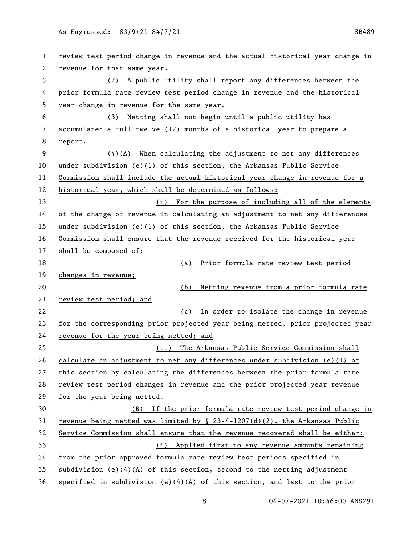review test period change in revenue and the actual historical year change in revenue for that same year. (2) A public utility shall report any differences between the prior formula rate review test period change in revenue and the historical year change in revenue for the same year. (3) Netting shall not begin until a public utility has accumulated a full twelve (12) months of a historical year to prepare a report. (4)(A) When calculating the adjustment to net any differences under subdivision (e)(1) of this section, the Arkansas Public Service Commission shall include the actual historical year change in revenue for a historical year, which shall be determined as follows: (i) For the purpose of including all of the elements of the change of revenue in calculating an adjustment to net any differences under subdivision (e)(1) of this section, the Arkansas Public Service Commission shall ensure that the revenue received for the historical year shall be composed of: (a) Prior formula rate review test period changes in revenue; (b) Netting revenue from a prior formula rate review test period; and (c) In order to isolate the change in revenue for the corresponding prior projected year being netted, prior projected year revenue for the year being netted; and (ii) The Arkansas Public Service Commission shall calculate an adjustment to net any differences under subdivision (e)(1) of this section by calculating the differences between the prior formula rate review test period changes in revenue and the prior projected year revenue for the year being netted. (B) If the prior formula rate review test period change in revenue being netted was limited by § 23-4-1207(d)(2), the Arkansas Public Service Commission shall ensure that the revenue recovered shall be either: (i) Applied first to any revenue amounts remaining from the prior approved formula rate review test periods specified in 35 subdivision (e)(4)(A) of this section, second to the netting adjustment 36 specified in subdivision (e) $(4)(A)$  of this section, and last to the prior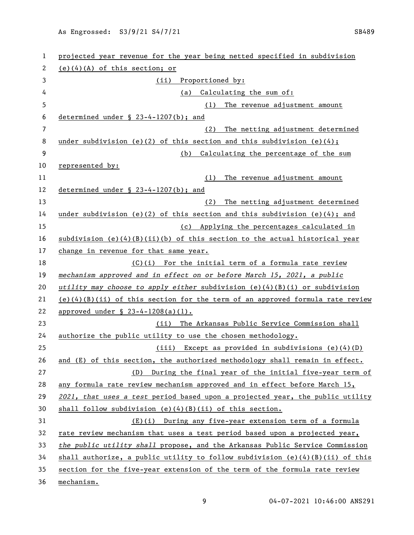| 1              | projected year revenue for the year being netted specified in subdivision       |
|----------------|---------------------------------------------------------------------------------|
| 2              | $(e)(4)(A)$ of this section; or                                                 |
| 3              | Proportioned by:<br>(ii)                                                        |
| 4              | Calculating the sum of:<br>(a)                                                  |
| 5              | The revenue adjustment amount<br>(1)                                            |
| 6              | determined under § 23-4-1207(b); and                                            |
| $\overline{7}$ | (2)<br>The netting adjustment determined                                        |
| 8              | under subdivision (e)(2) of this section and this subdivision (e)(4);           |
| 9              | Calculating the percentage of the sum<br>(b)                                    |
| 10             | represented by:                                                                 |
| 11             | (1)<br>The revenue adjustment amount                                            |
| 12             | determined under $\S$ 23-4-1207(b); and                                         |
| 13             | (2)<br>The netting adjustment determined                                        |
| 14             | under subdivision (e)(2) of this section and this subdivision (e)(4); and       |
| 15             | (c) Applying the percentages calculated in                                      |
| 16             | $subdivision (e)(4)(B)(ii)(b) of this section to the actual historical year$    |
| 17             | change in revenue for that same year.                                           |
| 18             | (C)(i) For the initial term of a formula rate review                            |
| 19             | mechanism approved and in effect on or before March 15, 2021, a public          |
| 20             | utility may choose to apply either subdivision (e)(4)(B)(i) or subdivision      |
| 21             | $(e)(4)(B)(ii)$ of this section for the term of an approved formula rate review |
| 22             | approved under § 23-4-1208(a)(1).                                               |
| 23             | (ii) The Arkansas Public Service Commission shall                               |
| 24             | authorize the public utility to use the chosen methodology.                     |
| 25             | (iii) Except as provided in subdivisions (e)(4)(D)                              |
| 26             | and (E) of this section, the authorized methodology shall remain in effect.     |
| 27             | During the final year of the initial five-year term of<br>(D)                   |
| 28             | any formula rate review mechanism approved and in effect before March 15,       |
| 29             | 2021, that uses a test period based upon a projected year, the public utility   |
| 30             | shall follow subdivision $(e)(4)(B)(ii)$ of this section.                       |
| 31             | (E)(i) During any five-year extension term of a formula                         |
| 32             | rate review mechanism that uses a test period based upon a projected year,      |
| 33             | the public utility shall propose, and the Arkansas Public Service Commission    |
| 34             | shall authorize, a public utility to follow subdivision $(e)(4)(B)(ii)$ of this |
| 35             | section for the five-year extension of the term of the formula rate review      |
| 36             | mechanism.                                                                      |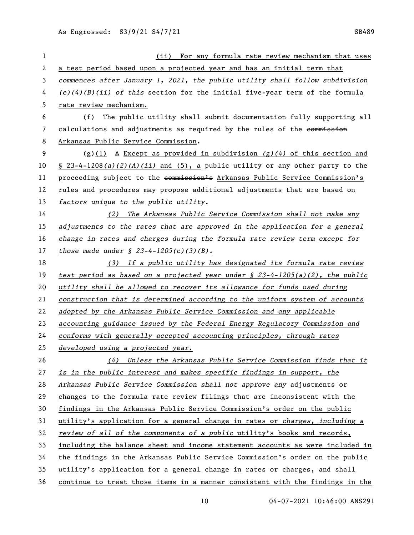| 1  | (ii) For any formula rate review mechanism that uses                            |
|----|---------------------------------------------------------------------------------|
| 2  | a test period based upon a projected year and has an initial term that          |
| 3  | commences after January 1, 2021, the public utility shall follow subdivision    |
| 4  | $(e)(4)(B)(ii)$ of this section for the initial five-year term of the formula   |
| 5  | rate review mechanism.                                                          |
| 6  | The public utility shall submit documentation fully supporting all<br>(f)       |
| 7  | calculations and adjustments as required by the rules of the commission         |
| 8  | Arkansas Public Service Commission.                                             |
| 9  | $(g)(1)$ A Except as provided in subdivision $(g)(4)$ of this section and       |
| 10 | $\S$ 23-4-1208(a)(2)(A)(ii) and (5), a public utility or any other party to the |
| 11 | proceeding subject to the commission's Arkansas Public Service Commission's     |
| 12 | rules and procedures may propose additional adjustments that are based on       |
| 13 | factors unique to the public utility.                                           |
| 14 | The Arkansas Public Service Commission shall not make any<br>(2)                |
| 15 | adjustments to the rates that are approved in the application for a general     |
| 16 | change in rates and charges during the formula rate review term except for      |
| 17 | <u>those made under <math>\frac{23-4-1205(c)}{3(b)}</math>.</u>                 |
| 18 | (3) If a public utility has designated its formula rate review                  |
| 19 | test period as based on a projected year under $\S$ 23-4-1205(a)(2), the public |
| 20 | utility shall be allowed to recover its allowance for funds used during         |
| 21 | construction that is determined according to the uniform system of accounts     |
| 22 | adopted by the Arkansas Public Service Commission and any applicable            |
| 23 | accounting guidance issued by the Federal Energy Regulatory Commission and      |
| 24 | conforms with generally accepted accounting principles, through rates           |
| 25 | developed using a projected year.                                               |
| 26 | Unless the Arkansas Public Service Commission finds that it<br>(4)              |
| 27 | is in the public interest and makes specific findings in support, the           |
| 28 | Arkansas Public Service Commission shall not approve any adjustments or         |
| 29 | changes to the formula rate review filings that are inconsistent with the       |
| 30 | findings in the Arkansas Public Service Commission's order on the public        |
| 31 | utility's application for a general change in rates or charges, including a     |
| 32 | review of all of the components of a public utility's books and records,        |
| 33 | including the balance sheet and income statement accounts as were included in   |
| 34 | the findings in the Arkansas Public Service Commission's order on the public    |
| 35 | utility's application for a general change in rates or charges, and shall       |
| 36 | continue to treat those items in a manner consistent with the findings in the   |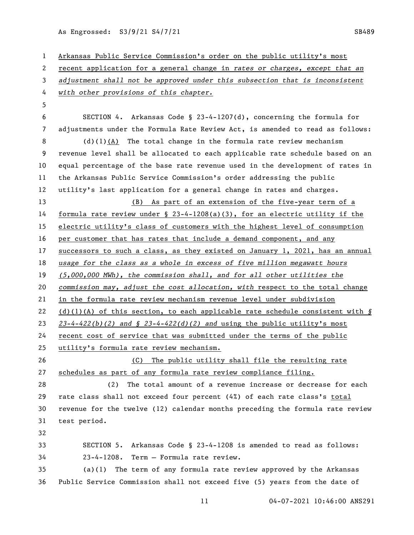| $\mathbf{1}$ | Arkansas Public Service Commission's order on the public utility's most         |
|--------------|---------------------------------------------------------------------------------|
| 2            | recent application for a general change in rates or charges, except that an     |
| 3            | adjustment shall not be approved under this subsection that is inconsistent     |
| 4            | with other provisions of this chapter.                                          |
| 5            |                                                                                 |
| 6            | SECTION 4. Arkansas Code § 23-4-1207(d), concerning the formula for             |
| 7            | adjustments under the Formula Rate Review Act, is amended to read as follows:   |
| 8            | $(d)(1)(A)$ The total change in the formula rate review mechanism               |
| 9            | revenue level shall be allocated to each applicable rate schedule based on an   |
| 10           | equal percentage of the base rate revenue used in the development of rates in   |
| 11           | the Arkansas Public Service Commission's order addressing the public            |
| 12           | utility's last application for a general change in rates and charges.           |
| 13           | (B) As part of an extension of the five-year term of a                          |
| 14           | formula rate review under $\S$ 23-4-1208(a)(3), for an electric utility if the  |
| 15           | electric utility's class of customers with the highest level of consumption     |
| 16           | per customer that has rates that include a demand component, and any            |
| 17           | successors to such a class, as they existed on January 1, 2021, has an annual   |
| 18           | usage for the class as a whole in excess of five million megawatt hours         |
| 19           | (5,000,000 MWh), the commission shall, and for all other utilities the          |
| 20           | commission may, adjust the cost allocation, with respect to the total change    |
| 21           | in the formula rate review mechanism revenue level under subdivision            |
| 22           | $(d)(1)(A)$ of this section, to each applicable rate schedule consistent with § |
| 23           | $23-4-422(b)(2)$ and § 23-4-422(d)(2) and using the public utility's most       |
| 24           | recent cost of service that was submitted under the terms of the public         |
| 25           | utility's formula rate review mechanism.                                        |
| 26           | The public utility shall file the resulting rate<br>(C)                         |
| 27           | schedules as part of any formula rate review compliance filing.                 |
| 28           | (2)<br>The total amount of a revenue increase or decrease for each              |
| 29           | rate class shall not exceed four percent (4%) of each rate class's total        |
| 30           | revenue for the twelve (12) calendar months preceding the formula rate review   |
| 31           | test period.                                                                    |
| 32           |                                                                                 |
| 33           | SECTION 5. Arkansas Code § 23-4-1208 is amended to read as follows:             |
| 34           | 23-4-1208. Term - Formula rate review.                                          |
| 35           | The term of any formula rate review approved by the Arkansas<br>(a)(1)          |
| 36           | Public Service Commission shall not exceed five (5) years from the date of      |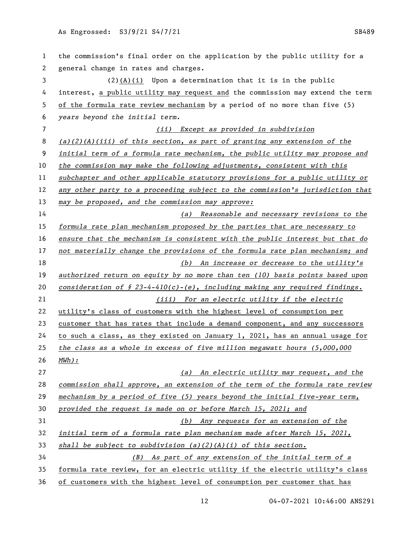the commission's final order on the application by the public utility for a general change in rates and charges. (2)(A)(i) Upon a determination that it is in the public interest, a public utility may request and the commission may extend the term of the formula rate review mechanism by a period of no more than five (5) *years beyond the initial term. (ii) Except as provided in subdivision (a)(2)(A)(iii) of this section, as part of granting any extension of the initial term of a formula rate mechanism, the public utility may propose and the commission may make the following adjustments, consistent with this subchapter and other applicable statutory provisions for a public utility or any other party to a proceeding subject to the commission's jurisdiction that may be proposed, and the commission may approve: (a) Reasonable and necessary revisions to the formula rate plan mechanism proposed by the parties that are necessary to ensure that the mechanism is consistent with the public interest but that do not materially change the provisions of the formula rate plan mechanism; and (b) An increase or decrease to the utility's authorized return on equity by no more than ten (10) basis points based upon consideration of* § *23-4-410(c)-(e), including making any required findings. (iii) For an electric utility if the electric* utility's class of customers with the highest level of consumption per 23 customer that has rates that include a demand component, and any successors to such a class, as they existed on January 1, 2021, has an annual usage for *the class as a whole in excess of five million megawatt hours (5,000,000 MWh): (a) An electric utility may request, and the commission shall approve, an extension of the term of the formula rate review mechanism by a period of five (5) years beyond the initial five-year term, provided the request is made on or before March 15, 2021; and (b) Any requests for an extension of the initial term of a formula rate plan mechanism made after March 15, 2021, shall be subject to subdivision (a)(2)(A)(i) of this section. (B) As part of any extension of the initial term of a* formula rate review, for an electric utility if the electric utility's class of customers with the highest level of consumption per customer that has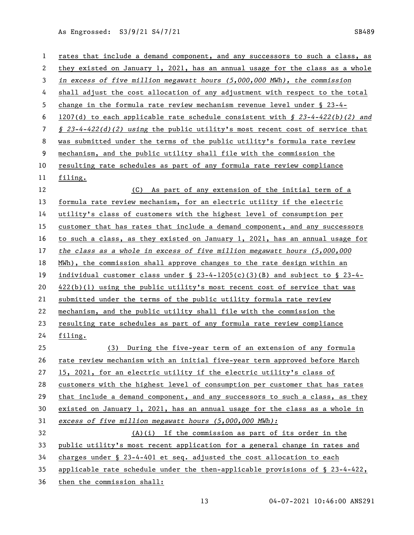| $\mathbf{1}$ | rates that include a demand component, and any successors to such a class, as            |
|--------------|------------------------------------------------------------------------------------------|
| 2            | they existed on January 1, 2021, has an annual usage for the class as a whole            |
| 3            | in excess of five million megawatt hours $(5,000,000)$ MWh), the commission              |
| 4            | shall adjust the cost allocation of any adjustment with respect to the total             |
| 5            | change in the formula rate review mechanism revenue level under $\S$ 23-4-               |
| 6            | 1207(d) to each applicable rate schedule consistent with $\S$ 23-4-422(b)(2) and         |
| 7            | $\frac{1}{2}$ 23-4-422(d)(2) using the public utility's most recent cost of service that |
| 8            | was submitted under the terms of the public utility's formula rate review                |
| 9            | mechanism, and the public utility shall file with the commission the                     |
| 10           | resulting rate schedules as part of any formula rate review compliance                   |
| 11           | filing.                                                                                  |
| 12           | (C)<br>As part of any extension of the initial term of a                                 |
| 13           | formula rate review mechanism, for an electric utility if the electric                   |
| 14           | utility's class of customers with the highest level of consumption per                   |
| 15           | customer that has rates that include a demand component, and any successors              |
| 16           | to such a class, as they existed on January 1, 2021, has an annual usage for             |
| 17           | the class as a whole in excess of five million megawatt hours $(5,000,000)$              |
| 18           | MWh), the commission shall approve changes to the rate design within an                  |
| 19           | individual customer class under $\S$ 23-4-1205(c)(3)(B) and subject to $\S$ 23-4-        |
| 20           | $422(b)(1)$ using the public utility's most recent cost of service that was              |
| 21           | submitted under the terms of the public utility formula rate review                      |
| 22           | mechanism, and the public utility shall file with the commission the                     |
| 23           | resulting rate schedules as part of any formula rate review compliance                   |
| 24           | filing.                                                                                  |
| 25           | (3) During the five-year term of an extension of any formula                             |
| 26           | rate review mechanism with an initial five-year term approved before March               |
| 27           | 15, 2021, for an electric utility if the electric utility's class of                     |
| 28           | customers with the highest level of consumption per customer that has rates              |
| 29           | that include a demand component, and any successors to such a class, as they             |
| 30           | existed on January 1, 2021, has an annual usage for the class as a whole in              |
| 31           | excess of five million megawatt hours (5,000,000 MWh):                                   |
| 32           | (A)(i) If the commission as part of its order in the                                     |
| 33           | public utility's most recent application for a general change in rates and               |
| 34           | charges under § 23-4-401 et seq. adjusted the cost allocation to each                    |
| 35           | applicable rate schedule under the then-applicable provisions of $\S$ 23-4-422,          |
| 36           | then the commission shall:                                                               |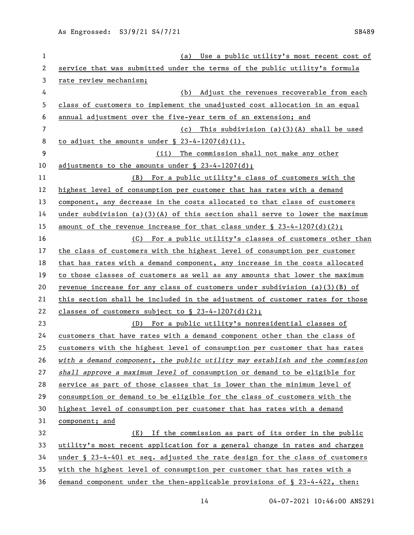| $\mathbf{1}$   | (a) Use a public utility's most recent cost of                               |
|----------------|------------------------------------------------------------------------------|
| 2              | service that was submitted under the terms of the public utility's formula   |
| 3              | rate review mechanism;                                                       |
| 4              | Adjust the revenues recoverable from each<br>(b)                             |
| 5              | class of customers to implement the unadjusted cost allocation in an equal   |
| 6              | annual adjustment over the five-year term of an extension; and               |
| $\overline{7}$ | (c) This subdivision $(a)(3)(A)$ shall be used                               |
| 8              | to adjust the amounts under $\S$ 23-4-1207(d)(1).                            |
| 9              | The commission shall not make any other<br>(ii)                              |
| 10             | adjustments to the amounts under $\S$ 23-4-1207(d);                          |
| 11             | (B) For a public utility's class of customers with the                       |
| 12             | highest level of consumption per customer that has rates with a demand       |
| 13             | component, any decrease in the costs allocated to that class of customers    |
| 14             | under subdivision (a)(3)(A) of this section shall serve to lower the maximum |
| 15             | amount of the revenue increase for that class under $\S$ 23-4-1207(d)(2);    |
| 16             | (C) For a public utility's classes of customers other than                   |
| 17             | the class of customers with the highest level of consumption per customer    |
| 18             | that has rates with a demand component, any increase in the costs allocated  |
| 19             | to those classes of customers as well as any amounts that lower the maximum  |
| 20             | revenue increase for any class of customers under subdivision $(a)(3)(B)$ of |
| 21             | this section shall be included in the adjustment of customer rates for those |
| 22             | classes of customers subject to $\S$ 23-4-1207(d)(2);                        |
| 23             | For a public utility's nonresidential classes of<br>(D)                      |
| 24             | customers that have rates with a demand component other than the class of    |
| 25             | customers with the highest level of consumption per customer that has rates  |
| 26             | with a demand component, the public utility may establish and the commission |
| 27             | shall approve a maximum level of consumption or demand to be eligible for    |
| 28             | service as part of those classes that is lower than the minimum level of     |
| 29             | consumption or demand to be eligible for the class of customers with the     |
| 30             | highest level of consumption per customer that has rates with a demand       |
| 31             | component; and                                                               |
| 32             | (E) If the commission as part of its order in the public                     |
| 33             | utility's most recent application for a general change in rates and charges  |
| 34             | under § 23-4-401 et seq. adjusted the rate design for the class of customers |
| 35             | with the highest level of consumption per customer that has rates with a     |
| 36             | demand component under the then-applicable provisions of § 23-4-422, then:   |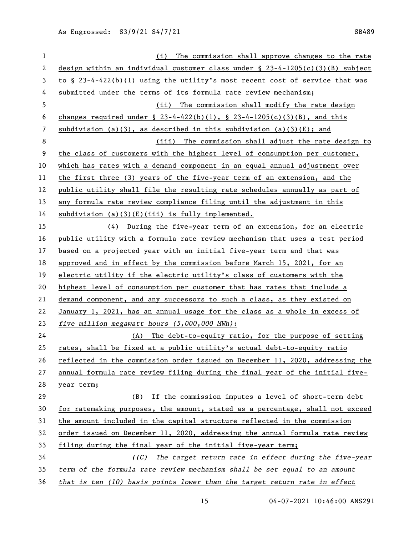| $\mathbf{1}$ | (i) The commission shall approve changes to the rate                             |
|--------------|----------------------------------------------------------------------------------|
| $\mathbf{2}$ | design within an individual customer class under $\S$ 23-4-1205(c)(3)(B) subject |
| 3            | to $\S$ 23-4-422(b)(1) using the utility's most recent cost of service that was  |
| 4            | submitted under the terms of its formula rate review mechanism;                  |
| 5            | (ii) The commission shall modify the rate design                                 |
| 6            | changes required under § 23-4-422(b)(1), § 23-4-1205(c)(3)(B), and this          |
| 7            | subdivision (a)(3), as described in this subdivision $(a)(3)(E)$ ; and           |
| 8            | (iii) The commission shall adjust the rate design to                             |
| 9            | the class of customers with the highest level of consumption per customer,       |
| 10           | which has rates with a demand component in an equal annual adjustment over       |
| 11           | the first three (3) years of the five-year term of an extension, and the         |
| 12           | public utility shall file the resulting rate schedules annually as part of       |
| 13           | any formula rate review compliance filing until the adjustment in this           |
| 14           | $subdivision$ (a)(3)(E)(iii) is fully implemented.                               |
| 15           | (4) During the five-year term of an extension, for an electric                   |
| 16           | public utility with a formula rate review mechanism that uses a test period      |
| 17           | based on a projected year with an initial five-year term and that was            |
| 18           | approved and in effect by the commission before March 15, 2021, for an           |
| 19           | electric utility if the electric utility's class of customers with the           |
| 20           | highest level of consumption per customer that has rates that include a          |
| 21           | demand component, and any successors to such a class, as they existed on         |
| 22           | January 1, 2021, has an annual usage for the class as a whole in excess of       |
| 23           | five million megawatt hours (5,000,000 MWh):                                     |
| 24           | (A) The debt-to-equity ratio, for the purpose of setting                         |
| 25           | rates, shall be fixed at a public utility's actual debt-to-equity ratio          |
| 26           | reflected in the commission order issued on December 11, 2020, addressing the    |
| 27           | annual formula rate review filing during the final year of the initial five-     |
| 28           | year term;                                                                       |
| 29           | If the commission imputes a level of short-term debt<br>(B)                      |
| 30           | for ratemaking purposes, the amount, stated as a percentage, shall not exceed    |
| 31           | the amount included in the capital structure reflected in the commission         |
| 32           | order issued on December 11, 2020, addressing the annual formula rate review     |
| 33           | filing during the final year of the initial five-year term;                      |
| 34           | ((C) The target return rate in effect during the five-year                       |
| 35           | term of the formula rate review mechanism shall be set equal to an amount        |
| 36           | that is ten $(10)$ basis points lower than the target return rate in effect      |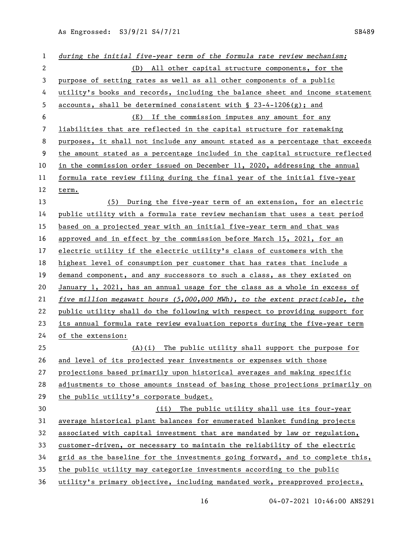| 1                     | during the initial five-year term of the formula rate review mechanism;        |
|-----------------------|--------------------------------------------------------------------------------|
| $\mathbf{2}^{\prime}$ | All other capital structure components, for the<br>(D)                         |
| 3                     | purpose of setting rates as well as all other components of a public           |
| 4                     | utility's books and records, including the balance sheet and income statement  |
| 5                     | accounts, shall be determined consistent with $\S$ 23-4-1206(g); and           |
| 6                     | (E) If the commission imputes any amount for any                               |
| 7                     | liabilities that are reflected in the capital structure for ratemaking         |
| 8                     | purposes, it shall not include any amount stated as a percentage that exceeds  |
| 9                     | the amount stated as a percentage included in the capital structure reflected  |
| 10                    | in the commission order issued on December 11, 2020, addressing the annual     |
| 11                    | formula rate review filing during the final year of the initial five-year      |
| 12                    | term.                                                                          |
| 13                    | During the five-year term of an extension, for an electric<br>(5)              |
| 14                    | public utility with a formula rate review mechanism that uses a test period    |
| 15                    | based on a projected year with an initial five-year term and that was          |
| 16                    | approved and in effect by the commission before March 15, 2021, for an         |
| 17                    | electric utility if the electric utility's class of customers with the         |
| 18                    | highest level of consumption per customer that has rates that include a        |
| 19                    | demand component, and any successors to such a class, as they existed on       |
| 20                    | January 1, 2021, has an annual usage for the class as a whole in excess of     |
| 21                    | five million megawatt hours $(5,000,000)$ MWh), to the extent practicable, the |
| 22                    | public utility shall do the following with respect to providing support for    |
| 23                    | its annual formula rate review evaluation reports during the five-year term    |
| 24                    | of the extension:                                                              |
| 25                    | The public utility shall support the purpose for<br>$(A)$ $(i)$                |
| 26                    | and level of its projected year investments or expenses with those             |
| 27                    | projections based primarily upon historical averages and making specific       |
| 28                    | adjustments to those amounts instead of basing those projections primarily on  |
| 29                    | the public utility's corporate budget.                                         |
| 30                    | (ii) The public utility shall use its four-year                                |
| 31                    | average historical plant balances for enumerated blanket funding projects      |
| 32                    | associated with capital investment that are mandated by law or regulation,     |
| 33                    | customer-driven, or necessary to maintain the reliability of the electric      |
| 34                    | grid as the baseline for the investments going forward, and to complete this,  |
| 35                    | the public utility may categorize investments according to the public          |
| 36                    | utility's primary objective, including mandated work, preapproved projects,    |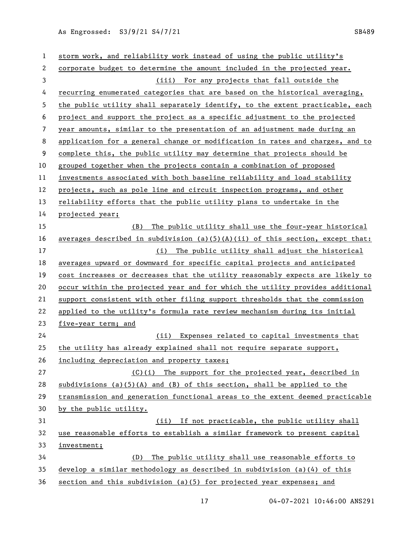| 1  | storm work, and reliability work instead of using the public utility's        |
|----|-------------------------------------------------------------------------------|
| 2  | corporate budget to determine the amount included in the projected year.      |
| 3  | (iii) For any projects that fall outside the                                  |
| 4  | recurring enumerated categories that are based on the historical averaging,   |
| 5  | the public utility shall separately identify, to the extent practicable, each |
| 6  | project and support the project as a specific adjustment to the projected     |
| 7  | year amounts, similar to the presentation of an adjustment made during an     |
| 8  | application for a general change or modification in rates and charges, and to |
| 9  | complete this, the public utility may determine that projects should be       |
| 10 | grouped together when the projects contain a combination of proposed          |
| 11 | investments associated with both baseline reliability and load stability      |
| 12 | projects, such as pole line and circuit inspection programs, and other        |
| 13 | reliability efforts that the public utility plans to undertake in the         |
| 14 | projected year;                                                               |
| 15 | The public utility shall use the four-year historical<br>(B)                  |
| 16 | averages described in subdivision (a)(5)(A)(ii) of this section, except that: |
| 17 | The public utility shall adjust the historical<br>(i)                         |
| 18 | averages upward or downward for specific capital projects and anticipated     |
| 19 | cost increases or decreases that the utility reasonably expects are likely to |
| 20 | occur within the projected year and for which the utility provides additional |
| 21 | support consistent with other filing support thresholds that the commission   |
| 22 | applied to the utility's formula rate review mechanism during its initial     |
| 23 | five-year term; and                                                           |
| 24 | (ii) Expenses related to capital investments that                             |
| 25 | the utility has already explained shall not require separate support,         |
| 26 | including depreciation and property taxes;                                    |
| 27 | (C)(i) The support for the projected year, described in                       |
| 28 | subdivisions (a) $(5)(A)$ and (B) of this section, shall be applied to the    |
| 29 | transmission and generation functional areas to the extent deemed practicable |
| 30 | by the public utility.                                                        |
| 31 | (ii) If not practicable, the public utility shall                             |
| 32 | use reasonable efforts to establish a similar framework to present capital    |
| 33 | investment;                                                                   |
| 34 | The public utility shall use reasonable efforts to<br>(D)                     |
| 35 | develop a similar methodology as described in subdivision $(a)(4)$ of this    |
| 36 | section and this subdivision (a)(5) for projected year expenses; and          |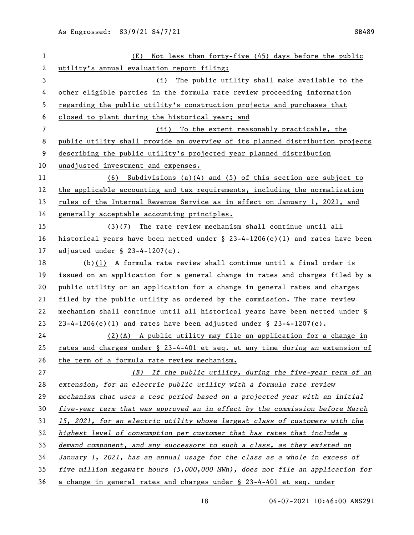| $\mathbf{1}$ | Not less than forty-five (45) days before the public<br>(E)                      |
|--------------|----------------------------------------------------------------------------------|
| 2            | utility's annual evaluation report filing:                                       |
| 3            | The public utility shall make available to the<br>(i)                            |
| 4            | other eligible parties in the formula rate review proceeding information         |
| 5            | regarding the public utility's construction projects and purchases that          |
| 6            | closed to plant during the historical year; and                                  |
| 7            | To the extent reasonably practicable, the<br>(ii)                                |
| 8            | public utility shall provide an overview of its planned distribution projects    |
| 9            | describing the public utility's projected year planned distribution              |
| 10           | unadjusted investment and expenses.                                              |
| 11           | Subdivisions $(a)(4)$ and $(5)$ of this section are subject to<br>(6)            |
| 12           | the applicable accounting and tax requirements, including the normalization      |
| 13           | rules of the Internal Revenue Service as in effect on January 1, 2021, and       |
| 14           | generally acceptable accounting principles.                                      |
| 15           | $(3)$ (7) The rate review mechanism shall continue until all                     |
| 16           | historical years have been netted under $\S$ 23-4-1206(e)(1) and rates have been |
| 17           | adjusted under $\S$ 23-4-1207(c).                                                |
| 18           | (b) $(1)$ A formula rate review shall continue until a final order is            |
| 19           | issued on an application for a general change in rates and charges filed by a    |
| 20           | public utility or an application for a change in general rates and charges       |
| 21           | filed by the public utility as ordered by the commission. The rate review        |
| 22           | mechanism shall continue until all historical years have been netted under §     |
| 23           | $23-4-1206(e)$ (1) and rates have been adjusted under § 23-4-1207(c).            |
| 24           | $(2)$ (A) A public utility may file an application for a change in               |
| 25           | rates and charges under § 23-4-401 et seq. at any time during an extension of    |
| 26           | the term of a formula rate review mechanism.                                     |
| 27           | (B) If the public utility, during the five-year term of an                       |
| 28           | extension, for an electric public utility with a formula rate review             |
| 29           | mechanism that uses a test period based on a projected year with an initial      |
| 30           | five-year term that was approved an in effect by the commission before March     |
| 31           | 15, 2021, for an electric utility whose largest class of customers with the      |
| 32           | highest level of consumption per customer that has rates that include a          |
| 33           | demand component, and any successors to such a class, as they existed on         |
| 34           | January 1, 2021, has an annual usage for the class as a whole in excess of       |
| 35           | five million megawatt hours $(5,000,000)$ MWh), does not file an application for |
| 36           | a change in general rates and charges under § 23-4-401 et seq. under             |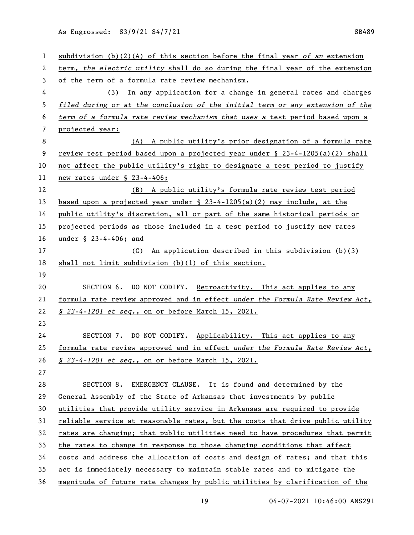| $\mathbf{1}$ | subdivision (b)(2)(A) of this section before the final year of an extension     |
|--------------|---------------------------------------------------------------------------------|
| 2            | term, the electric utility shall do so during the final year of the extension   |
| 3            | of the term of a formula rate review mechanism.                                 |
| 4            | (3) In any application for a change in general rates and charges                |
| 5            | filed during or at the conclusion of the initial term or any extension of the   |
| 6            | term of a formula rate review mechanism that uses a test period based upon a    |
| 7            |                                                                                 |
| 8            | projected year:<br>(A) A public utility's prior designation of a formula rate   |
| 9            | review test period based upon a projected year under $\S$ 23-4-1205(a)(2) shall |
| 10           | not affect the public utility's right to designate a test period to justify     |
| 11           | new rates under § 23-4-406;                                                     |
| 12           | (B) A public utility's formula rate review test period                          |
| 13           | based upon a projected year under $\S$ 23-4-1205(a)(2) may include, at the      |
| 14           | public utility's discretion, all or part of the same historical periods or      |
| 15           | projected periods as those included in a test period to justify new rates       |
| 16           | under § 23-4-406; and                                                           |
| 17           | An application described in this subdivision (b)(3)<br>(C)                      |
| 18           | shall not limit subdivision (b)(l) of this section.                             |
| 19           |                                                                                 |
| 20           | SECTION 6. DO NOT CODIFY. Retroactivity. This act applies to any                |
| 21           | formula rate review approved and in effect under the Formula Rate Review Act,   |
| 22           | § 23-4-1201 et seq., on or before March 15, 2021.                               |
| 23           |                                                                                 |
| 24           | SECTION 7. DO NOT CODIFY. Applicability. This act applies to any                |
| 25           | formula rate review approved and in effect under the Formula Rate Review Act,   |
| 26           | § 23-4-1201 et seq., on or before March 15, 2021.                               |
| 27           |                                                                                 |
| 28           | SECTION 8.<br>EMERGENCY CLAUSE. It is found and determined by the               |
| 29           | General Assembly of the State of Arkansas that investments by public            |
| 30           | utilities that provide utility service in Arkansas are required to provide      |
| 31           | reliable service at reasonable rates, but the costs that drive public utility   |
| 32           | rates are changing; that public utilities need to have procedures that permit   |
| 33           | the rates to change in response to those changing conditions that affect        |
| 34           | costs and address the allocation of costs and design of rates; and that this    |
| 35           | act is immediately necessary to maintain stable rates and to mitigate the       |
| 36           | magnitude of future rate changes by public utilities by clarification of the    |